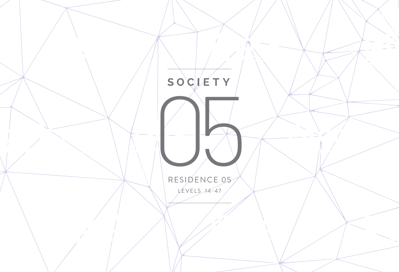